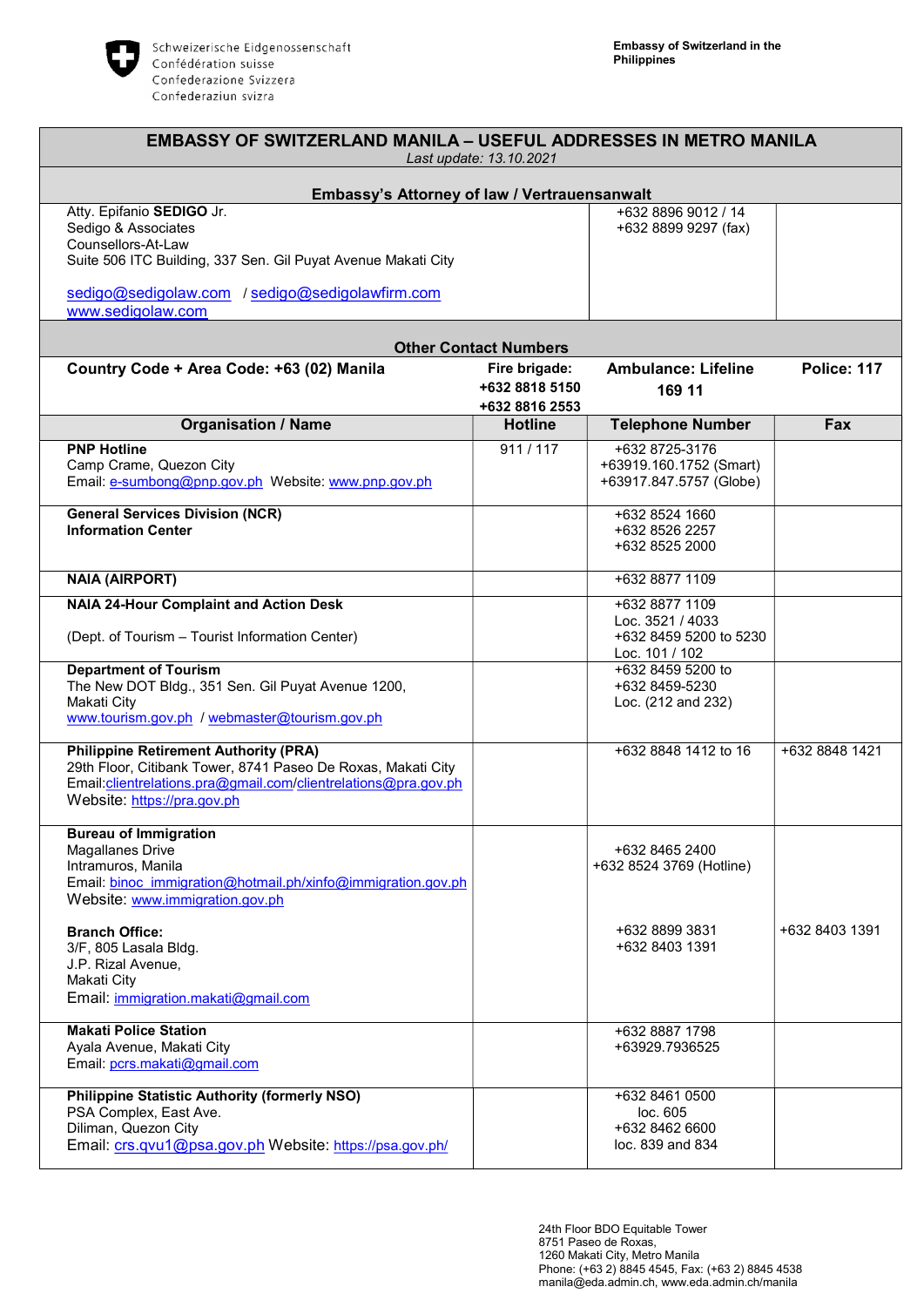

| <b>EMBASSY OF SWITZERLAND MANILA – USEFUL ADDRESSES IN METRO MANILA</b><br>Last update: 13.10.2021                                                                                                             |                                                   |                                                                                |                    |  |
|----------------------------------------------------------------------------------------------------------------------------------------------------------------------------------------------------------------|---------------------------------------------------|--------------------------------------------------------------------------------|--------------------|--|
| Embassy's Attorney of law / Vertrauensanwalt                                                                                                                                                                   |                                                   |                                                                                |                    |  |
| Atty. Epifanio SEDIGO Jr.<br>Sedigo & Associates<br>Counsellors-At-Law<br>Suite 506 ITC Building, 337 Sen. Gil Puyat Avenue Makati City                                                                        |                                                   | +632 8896 9012 / 14<br>+632 8899 9297 (fax)                                    |                    |  |
| sedigo@sedigolaw.com / sedigo@sedigolawfirm.com<br>www.sedigolaw.com                                                                                                                                           |                                                   |                                                                                |                    |  |
| <b>Other Contact Numbers</b>                                                                                                                                                                                   |                                                   |                                                                                |                    |  |
| Country Code + Area Code: +63 (02) Manila                                                                                                                                                                      | Fire brigade:<br>+632 8818 5150<br>+632 8816 2553 | <b>Ambulance: Lifeline</b><br>169 11                                           | <b>Police: 117</b> |  |
| <b>Organisation / Name</b>                                                                                                                                                                                     | <b>Hotline</b>                                    | <b>Telephone Number</b>                                                        | Fax                |  |
| <b>PNP Hotline</b><br>Camp Crame, Quezon City<br>Email: e-sumbong@pnp.gov.ph Website: www.pnp.gov.ph                                                                                                           | 911/117                                           | +632 8725-3176<br>+63919.160.1752 (Smart)<br>+63917.847.5757 (Globe)           |                    |  |
| <b>General Services Division (NCR)</b><br><b>Information Center</b>                                                                                                                                            |                                                   | +632 8524 1660<br>+632 8526 2257<br>+632 8525 2000                             |                    |  |
| <b>NAIA (AIRPORT)</b>                                                                                                                                                                                          |                                                   | +632 8877 1109                                                                 |                    |  |
| <b>NAIA 24-Hour Complaint and Action Desk</b><br>(Dept. of Tourism - Tourist Information Center)                                                                                                               |                                                   | +632 8877 1109<br>Loc. 3521 / 4033<br>+632 8459 5200 to 5230<br>Loc. 101 / 102 |                    |  |
| <b>Department of Tourism</b><br>The New DOT Bldg., 351 Sen. Gil Puyat Avenue 1200,<br>Makati City<br>www.tourism.gov.ph / webmaster@tourism.gov.ph                                                             |                                                   | +632 8459 5200 to<br>+632 8459-5230<br>Loc. (212 and 232)                      |                    |  |
| <b>Philippine Retirement Authority (PRA)</b><br>29th Floor, Citibank Tower, 8741 Paseo De Roxas, Makati City<br>Email: clientrelations.pra@gmail.com/clientrelations@pra.gov.ph<br>Website: https://pra.gov.ph |                                                   | +632 8848 1412 to 16                                                           | +632 8848 1421     |  |
| <b>Bureau of Immigration</b><br><b>Magallanes Drive</b><br>Intramuros, Manila<br>Email: binoc_immigration@hotmail.ph/xinfo@immigration.gov.ph<br>Website: www.immigration.gov.ph                               |                                                   | +632 8465 2400<br>+632 8524 3769 (Hotline)                                     |                    |  |
| <b>Branch Office:</b><br>3/F, 805 Lasala Bldg.<br>J.P. Rizal Avenue,<br>Makati City<br>Email: immigration.makati@gmail.com                                                                                     |                                                   | +632 8899 3831<br>+632 8403 1391                                               | +632 8403 1391     |  |
| <b>Makati Police Station</b><br>Ayala Avenue, Makati City<br>Email: pcrs.makati@gmail.com                                                                                                                      |                                                   | +632 8887 1798<br>+63929.7936525                                               |                    |  |
| <b>Philippine Statistic Authority (formerly NSO)</b><br>PSA Complex, East Ave.<br>Diliman, Quezon City<br>Email: crs.qvu1@psa.gov.ph Website: https://psa.gov.ph/                                              |                                                   | +632 8461 0500<br>loc. 605<br>+632 8462 6600<br>loc. 839 and 834               |                    |  |